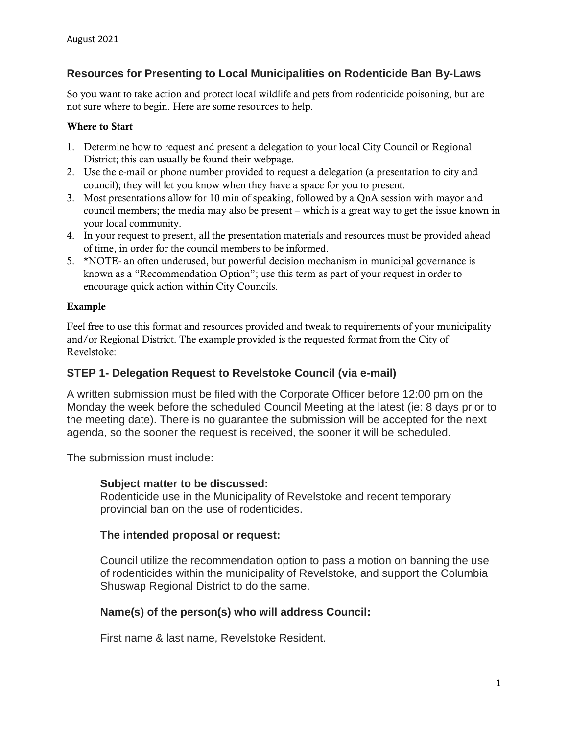# **Resources for Presenting to Local Municipalities on Rodenticide Ban By-Laws**

So you want to take action and protect local wildlife and pets from rodenticide poisoning, but are not sure where to begin. Here are some resources to help.

#### Where to Start

- 1. Determine how to request and present a delegation to your local City Council or Regional District; this can usually be found their webpage.
- 2. Use the e-mail or phone number provided to request a delegation (a presentation to city and council); they will let you know when they have a space for you to present.
- 3. Most presentations allow for 10 min of speaking, followed by a QnA session with mayor and council members; the media may also be present – which is a great way to get the issue known in your local community.
- 4. In your request to present, all the presentation materials and resources must be provided ahead of time, in order for the council members to be informed.
- 5. \*NOTE- an often underused, but powerful decision mechanism in municipal governance is known as a "Recommendation Option"; use this term as part of your request in order to encourage quick action within City Councils.

#### Example

Feel free to use this format and resources provided and tweak to requirements of your municipality and/or Regional District. The example provided is the requested format from the City of Revelstoke:

### **STEP 1- Delegation Request to Revelstoke Council (via e-mail)**

A written submission must be filed with the Corporate Officer before 12:00 pm on the Monday the week before the scheduled Council Meeting at the latest (ie: 8 days prior to the meeting date). There is no guarantee the submission will be accepted for the next agenda, so the sooner the request is received, the sooner it will be scheduled.

The submission must include:

### **Subject matter to be discussed:**

Rodenticide use in the Municipality of Revelstoke and recent temporary provincial ban on the use of rodenticides.

### **The intended proposal or request:**

Council utilize the recommendation option to pass a motion on banning the use of rodenticides within the municipality of Revelstoke, and support the Columbia Shuswap Regional District to do the same.

### **Name(s) of the person(s) who will address Council:**

First name & last name, Revelstoke Resident.